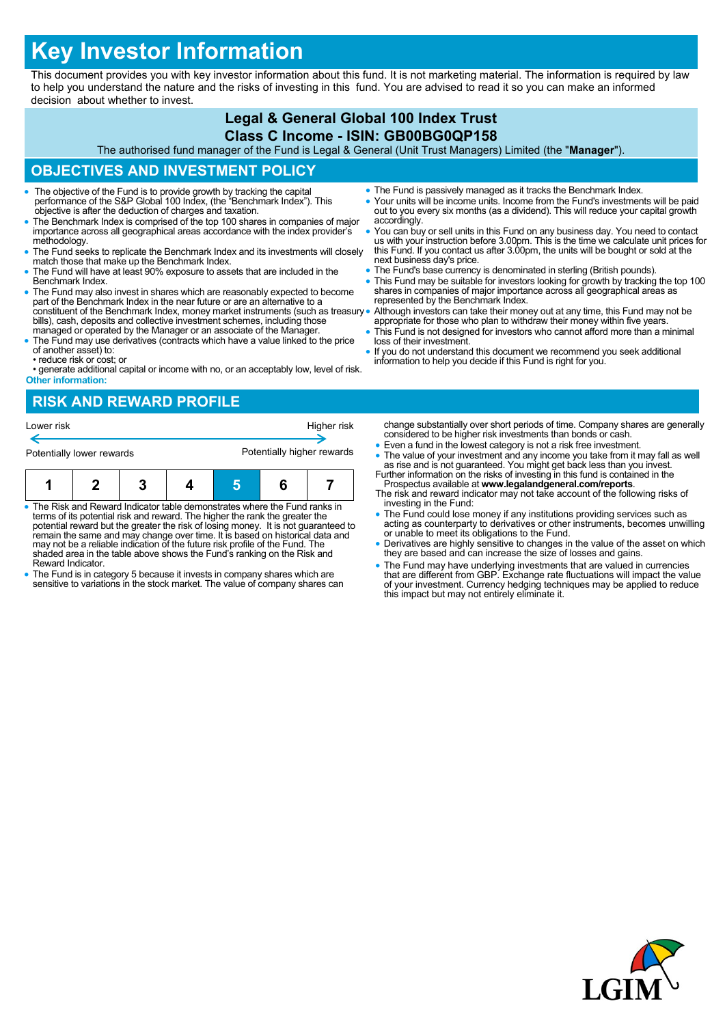# **Key Investor Information**

This document provides you with key investor information about this fund. It is not marketing material. The information is required by law to help you understand the nature and the risks of investing in this fund. You are advised to read it so you can make an informed decision about whether to invest.

### **Legal & General Global 100 Index Trust Class C Income - ISIN: GB00BG0QP158**

The authorised fund manager of the Fund is Legal & General (Unit Trust Managers) Limited (the "**Manager**").

## **OBJECTIVES AND INVESTMENT POLICY**

- The objective of the Fund is to provide growth by tracking the capital performance of the S&P Global 100 Index, (the "Benchmark Index"). This objective is after the deduction of charges and taxation.
- The Benchmark Index is comprised of the top 100 shares in companies of major importance across all geographical areas accordance with the index provider's methodology.
- The Fund seeks to replicate the Benchmark Index and its investments will closely match those that make up the Benchmark Index.
- The Fund will have at least 90% exposure to assets that are included in the Benchmark Index.
- The Fund may also invest in shares which are reasonably expected to become part of the Benchmark Index in the near future or are an alternative to a constituent of the Benchmark Index, money market instruments (such as treasury bills), cash, deposits and collective investment schemes, including those managed or operated by the Manager or an associate of the Manager.
- The Fund may use derivatives (contracts which have a value linked to the price of another asset) to: • reduce risk or cost; or
- generate additional capital or income with no, or an acceptably low, level of risk. **Other information:**
- The Fund is passively managed as it tracks the Benchmark Index.
- Your units will be income units. Income from the Fund's investments will be paid out to you every six months (as a dividend). This will reduce your capital growth accordingly.
- You can buy or sell units in this Fund on any business day. You need to contact us with your instruction before 3.00pm. This is the time we calculate unit prices for this Fund. If you contact us after 3.00pm, the units w next business day's price.
- The Fund's base currency is denominated in sterling (British pounds).
- This Fund may be suitable for investors looking for growth by tracking the top 100 shares in companies of major importance across all geographical areas as represented by the Benchmark Index.
- Although investors can take their money out at any time, this Fund may not be appropriate for those who plan to withdraw their money within five years.
- This Fund is not designed for investors who cannot afford more than a minimal loss of their investment.
- If you do not understand this document we recommend you seek additional information to help you decide if this Fund is right for you.

# **RISK AND REWARD PROFILE**



- The Risk and Reward Indicator table demonstrates where the Fund ranks in terms of its potential risk and reward. The higher the rank the greater the potential reward but the greater the risk of losing money. It is not guaranteed to remain the same and may change over time. It is based on historical data and may not be a reliable indication of the future risk profile of the Fund. The shaded area in the table above shows the Fund's ranking on the Risk and Reward Indicator.
- The Fund is in category 5 because it invests in company shares which are sensitive to variations in the stock market. The value of company shares can
- change substantially over short periods of time. Company shares are generally considered to be higher risk investments than bonds or cash.
- Even a fund in the lowest category is not a risk free investment. • The value of your investment and any income you take from it may fall as well as rise and is not guaranteed. You might get back less than you invest.<br>Further information on the risks of investing in this fund is containe
- Prospectus available at **www.legalandgeneral.com/reports**.
- The risk and reward indicator may not take account of the following risks of investing in the Fund:
- The Fund could lose money if any institutions providing services such as acting as counterparty to derivatives or other instruments, becomes unwilling or unable to meet its obligations to the Fund.
- Derivatives are highly sensitive to changes in the value of the asset on which they are based and can increase the size of losses and gains.
- The Fund may have underlying investments that are valued in currencies that are different from GBP. Exchange rate fluctuations will impact the value of your investment. Currency hedging techniques may be applied to reduce this impact but may not entirely eliminate it.